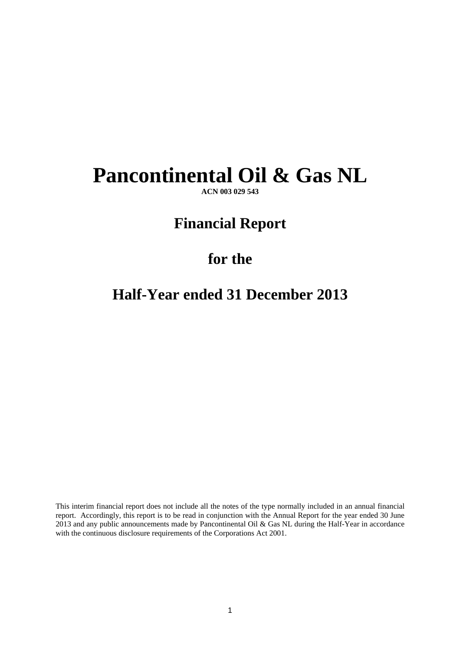# **Pancontinental Oil & Gas NL**

**ACN 003 029 543** 

# **Financial Report**

# **for the**

# **Half-Year ended 31 December 2013**

This interim financial report does not include all the notes of the type normally included in an annual financial report. Accordingly, this report is to be read in conjunction with the Annual Report for the year ended 30 June 2013 and any public announcements made by Pancontinental Oil & Gas NL during the Half-Year in accordance with the continuous disclosure requirements of the Corporations Act 2001.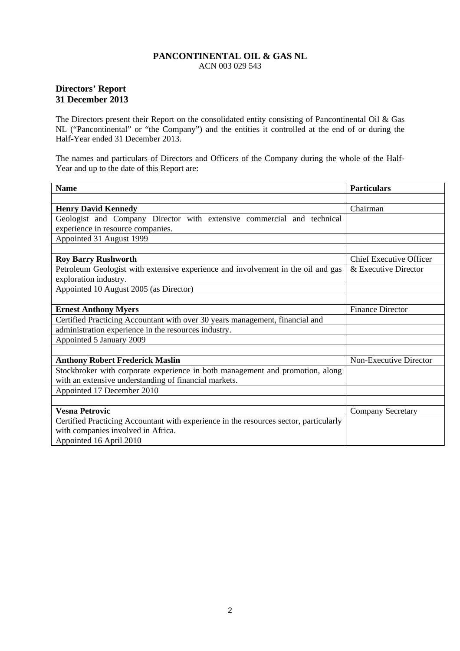# **Directors' Report 31 December 2013**

The Directors present their Report on the consolidated entity consisting of Pancontinental Oil & Gas NL ("Pancontinental" or "the Company") and the entities it controlled at the end of or during the Half-Year ended 31 December 2013.

The names and particulars of Directors and Officers of the Company during the whole of the Half-Year and up to the date of this Report are:

| <b>Name</b>                                                                           | <b>Particulars</b>             |
|---------------------------------------------------------------------------------------|--------------------------------|
|                                                                                       |                                |
| <b>Henry David Kennedy</b>                                                            | Chairman                       |
| Geologist and Company Director with extensive commercial and technical                |                                |
| experience in resource companies.                                                     |                                |
| Appointed 31 August 1999                                                              |                                |
|                                                                                       |                                |
| <b>Roy Barry Rushworth</b>                                                            | <b>Chief Executive Officer</b> |
| Petroleum Geologist with extensive experience and involvement in the oil and gas      | & Executive Director           |
| exploration industry.                                                                 |                                |
| Appointed 10 August 2005 (as Director)                                                |                                |
|                                                                                       |                                |
| <b>Ernest Anthony Myers</b>                                                           | <b>Finance Director</b>        |
| Certified Practicing Accountant with over 30 years management, financial and          |                                |
| administration experience in the resources industry.                                  |                                |
| Appointed 5 January 2009                                                              |                                |
|                                                                                       |                                |
| <b>Anthony Robert Frederick Maslin</b>                                                | Non-Executive Director         |
| Stockbroker with corporate experience in both management and promotion, along         |                                |
| with an extensive understanding of financial markets.                                 |                                |
| Appointed 17 December 2010                                                            |                                |
|                                                                                       |                                |
| <b>Vesna Petrovic</b>                                                                 | <b>Company Secretary</b>       |
| Certified Practicing Accountant with experience in the resources sector, particularly |                                |
| with companies involved in Africa.                                                    |                                |
| Appointed 16 April 2010                                                               |                                |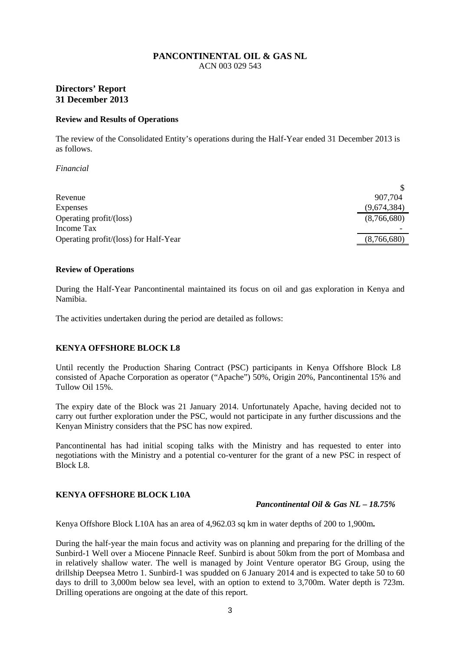# **Directors' Report 31 December 2013**

#### **Review and Results of Operations**

The review of the Consolidated Entity's operations during the Half-Year ended 31 December 2013 is as follows.

*Financial* 

| Revenue                               | 907.704     |
|---------------------------------------|-------------|
| <b>Expenses</b>                       | (9,674,384) |
| Operating profit/(loss)               | (8,766,680) |
| Income Tax                            |             |
| Operating profit/(loss) for Half-Year | (8,766,680) |

#### **Review of Operations**

During the Half-Year Pancontinental maintained its focus on oil and gas exploration in Kenya and Namibia.

The activities undertaken during the period are detailed as follows:

### **KENYA OFFSHORE BLOCK L8**

Until recently the Production Sharing Contract (PSC) participants in Kenya Offshore Block L8 consisted of Apache Corporation as operator ("Apache") 50%, Origin 20%, Pancontinental 15% and Tullow Oil 15%.

The expiry date of the Block was 21 January 2014. Unfortunately Apache, having decided not to carry out further exploration under the PSC, would not participate in any further discussions and the Kenyan Ministry considers that the PSC has now expired.

Pancontinental has had initial scoping talks with the Ministry and has requested to enter into negotiations with the Ministry and a potential co-venturer for the grant of a new PSC in respect of Block L8.

### **KENYA OFFSHORE BLOCK L10A**

*Pancontinental Oil & Gas NL – 18.75%* 

Kenya Offshore Block L10A has an area of 4,962.03 sq km in water depths of 200 to 1,900m**.**

During the half-year the main focus and activity was on planning and preparing for the drilling of the Sunbird-1 Well over a Miocene Pinnacle Reef. Sunbird is about 50km from the port of Mombasa and in relatively shallow water. The well is managed by Joint Venture operator BG Group, using the drillship Deepsea Metro 1. Sunbird-1 was spudded on 6 January 2014 and is expected to take 50 to 60 days to drill to 3,000m below sea level, with an option to extend to 3,700m. Water depth is 723m. Drilling operations are ongoing at the date of this report.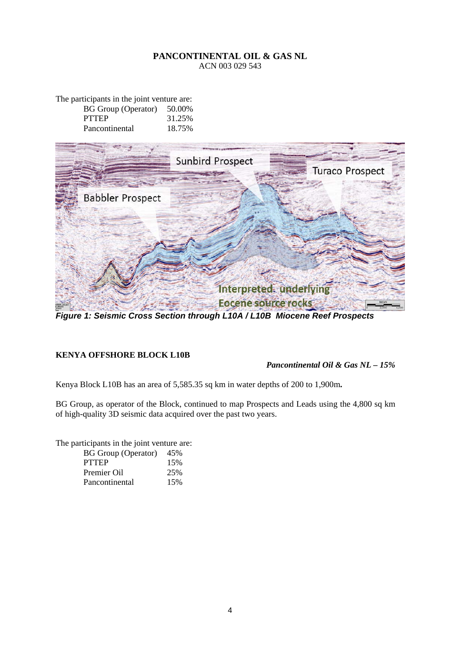The participants in the joint venture are: BG Group (Operator) 50.00%<br>PTTEP 31.25% 31.25% Pancontinental 18.75%



*Figure 1: Seismic Cross Section through L10A / L10B Miocene Reef Prospects* 

# **KENYA OFFSHORE BLOCK L10B**

*Pancontinental Oil & Gas NL – 15%*

Kenya Block L10B has an area of 5,585.35 sq km in water depths of 200 to 1,900m**.**

BG Group, as operator of the Block, continued to map Prospects and Leads using the 4,800 sq km of high-quality 3D seismic data acquired over the past two years.

The participants in the joint venture are:

| <b>BG</b> Group (Operator) | 45% |
|----------------------------|-----|
| <b>PTTEP</b>               | 15% |
| Premier Oil                | 25% |
| Pancontinental             | 15% |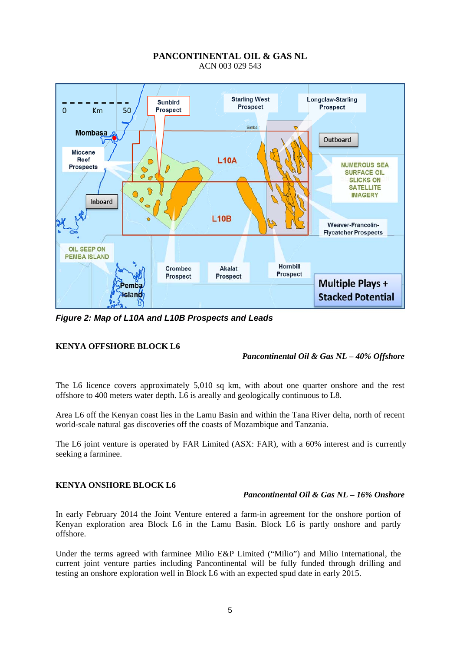

*Figure 2: Map of L10A and L10B Prospects and Leads*

# **KENYA OFFSHORE BLOCK L6**

### *Pancontinental Oil & Gas NL – 40% Offshore*

The L6 licence covers approximately 5,010 sq km, with about one quarter onshore and the rest offshore to 400 meters water depth. L6 is areally and geologically continuous to L8.

Area L6 off the Kenyan coast lies in the Lamu Basin and within the Tana River delta, north of recent world-scale natural gas discoveries off the coasts of Mozambique and Tanzania.

The L6 joint venture is operated by FAR Limited (ASX: FAR), with a 60% interest and is currently seeking a farminee.

### **KENYA ONSHORE BLOCK L6**

### *Pancontinental Oil & Gas NL – 16% Onshore*

In early February 2014 the Joint Venture entered a farm-in agreement for the onshore portion of Kenyan exploration area Block L6 in the Lamu Basin. Block L6 is partly onshore and partly offshore.

Under the terms agreed with farminee Milio E&P Limited ("Milio") and Milio International, the current joint venture parties including Pancontinental will be fully funded through drilling and testing an onshore exploration well in Block L6 with an expected spud date in early 2015.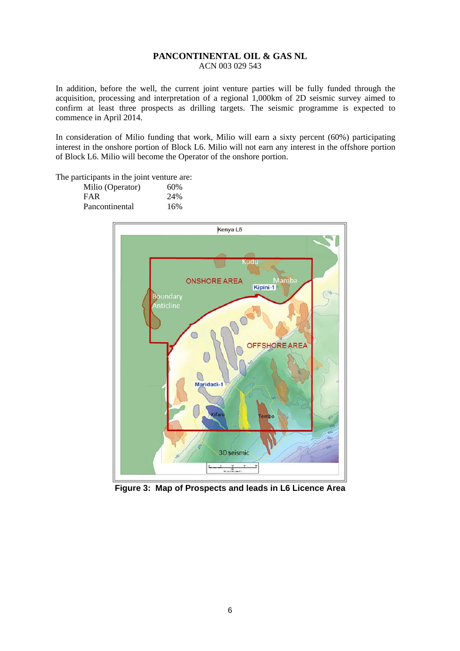In addition, before the well, the current joint venture parties will be fully funded through the acquisition, processing and interpretation of a regional 1,000km of 2D seismic survey aimed to confirm at least three prospects as drilling targets. The seismic programme is expected to commence in April 2014.

In consideration of Milio funding that work, Milio will earn a sixty percent (60%) participating interest in the onshore portion of Block L6. Milio will not earn any interest in the offshore portion of Block L6. Milio will become the Operator of the onshore portion.

The participants in the joint venture are:

| Milio (Operator) | 60% |
|------------------|-----|
| <b>FAR</b>       | 24% |
| Pancontinental   | 16% |



**Figure 3: Map of Prospects and leads in L6 Licence Area**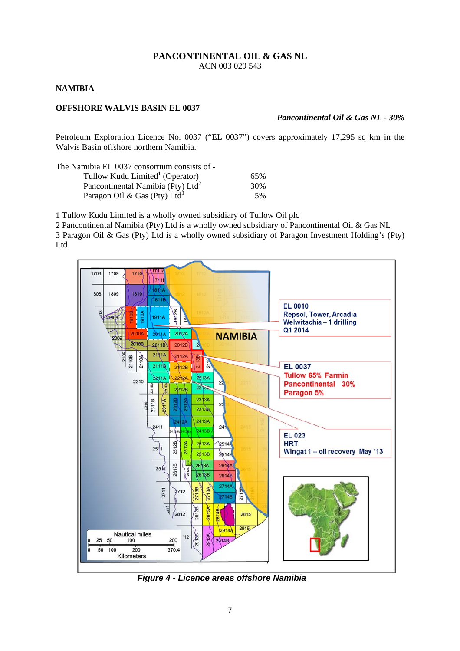#### **NAMIBIA**

# **OFFSHORE WALVIS BASIN EL 0037**

#### *Pancontinental Oil & Gas NL - 30%*

Petroleum Exploration Licence No. 0037 ("EL 0037") covers approximately 17,295 sq km in the Walvis Basin offshore northern Namibia.

The Namibia EL 0037 consortium consists of -

| Tullow Kudu Limited <sup>1</sup> (Operator)   | 65% |
|-----------------------------------------------|-----|
| Pancontinental Namibia (Pty) Ltd <sup>2</sup> | 30% |
| Paragon Oil & Gas (Pty) Ltd <sup>3</sup>      | 5%  |

1 Tullow Kudu Limited is a wholly owned subsidiary of Tullow Oil plc

2 Pancontinental Namibia (Pty) Ltd is a wholly owned subsidiary of Pancontinental Oil & Gas NL 3 Paragon Oil & Gas (Pty) Ltd is a wholly owned subsidiary of Paragon Investment Holding's (Pty) Ltd



*Figure 4 - Licence areas offshore Namibia*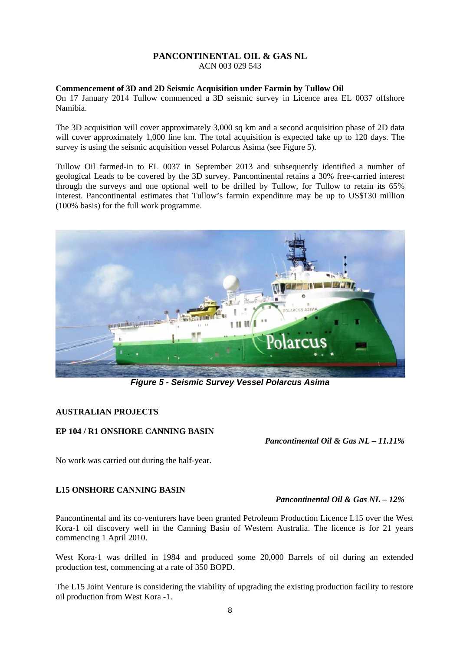ACN 003 029 543

## **Commencement of 3D and 2D Seismic Acquisition under Farmin by Tullow Oil**

On 17 January 2014 Tullow commenced a 3D seismic survey in Licence area EL 0037 offshore Namibia.

The 3D acquisition will cover approximately 3,000 sq km and a second acquisition phase of 2D data will cover approximately 1,000 line km. The total acquisition is expected take up to 120 days. The survey is using the seismic acquisition vessel Polarcus Asima (see Figure 5).

Tullow Oil farmed-in to EL 0037 in September 2013 and subsequently identified a number of geological Leads to be covered by the 3D survey. Pancontinental retains a 30% free-carried interest through the surveys and one optional well to be drilled by Tullow, for Tullow to retain its 65% interest. Pancontinental estimates that Tullow's farmin expenditure may be up to US\$130 million (100% basis) for the full work programme.



*Figure 5 - Seismic Survey Vessel Polarcus Asima*

# **AUSTRALIAN PROJECTS**

# **EP 104 / R1 ONSHORE CANNING BASIN**

*Pancontinental Oil & Gas NL – 11.11%* 

No work was carried out during the half-year.

# **L15 ONSHORE CANNING BASIN**

# *Pancontinental Oil & Gas NL – 12%*

Pancontinental and its co-venturers have been granted Petroleum Production Licence L15 over the West Kora-1 oil discovery well in the Canning Basin of Western Australia. The licence is for 21 years commencing 1 April 2010.

West Kora-1 was drilled in 1984 and produced some 20,000 Barrels of oil during an extended production test, commencing at a rate of 350 BOPD.

The L15 Joint Venture is considering the viability of upgrading the existing production facility to restore oil production from West Kora -1.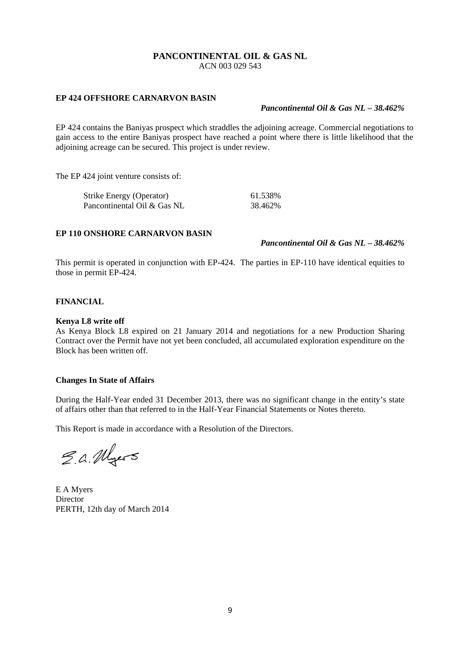ACN 003 029 543

#### **EP 424 OFFSHORE CARNARVON BASIN**

# *Pancontinental Oil & Gas NL – 38.462%*

EP 424 contains the Baniyas prospect which straddles the adjoining acreage. Commercial negotiations to gain access to the entire Baniyas prospect have reached a point where there is little likelihood that the adjoining acreage can be secured. This project is under review.

The EP 424 joint venture consists of:

| <b>Strike Energy (Operator)</b> | 61.538% |
|---------------------------------|---------|
| Pancontinental Oil & Gas NL     | 38.462% |

### **EP 110 ONSHORE CARNARVON BASIN**

*Pancontinental Oil & Gas NL – 38.462%* 

This permit is operated in conjunction with EP-424. The parties in EP-110 have identical equities to those in permit EP-424.

#### **FINANCIAL**

#### **Kenya L8 write off**

As Kenya Block L8 expired on 21 January 2014 and negotiations for a new Production Sharing Contract over the Permit have not yet been concluded, all accumulated exploration expenditure on the Block has been written off.

#### **Changes In State of Affairs**

During the Half-Year ended 31 December 2013, there was no significant change in the entity's state of affairs other than that referred to in the Half-Year Financial Statements or Notes thereto.

This Report is made in accordance with a Resolution of the Directors.

E.a. Myers

E A Myers **Director** PERTH, 12th day of March 2014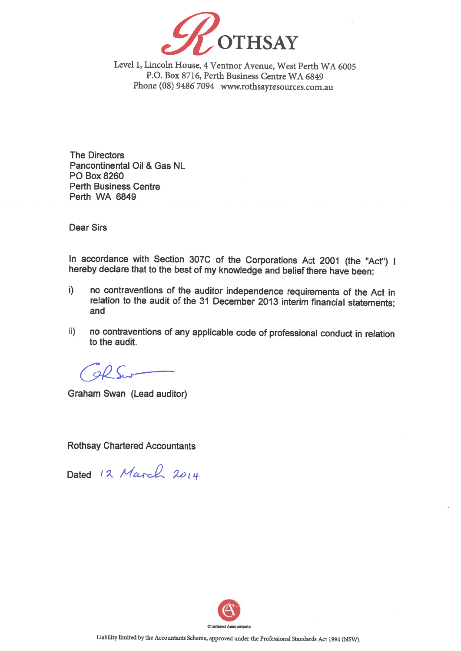

Level 1, Lincoln House, 4 Ventnor Avenue, West Perth WA 6005 P.O. Box 8716, Perth Business Centre WA 6849 Phone (08) 9486 7094 www.rothsayresources.com.au

**The Directors** Pancontinental Oil & Gas NL PO Box 8260 **Perth Business Centre** Perth WA 6849

**Dear Sirs** 

In accordance with Section 307C of the Corporations Act 2001 (the "Act") I hereby declare that to the best of my knowledge and belief there have been:

- no contraventions of the auditor independence requirements of the Act in  $i)$ relation to the audit of the 31 December 2013 interim financial statements; and
- no contraventions of any applicable code of professional conduct in relation  $\mathbf{ii}$ to the audit.

 $\partial U$ 

Graham Swan (Lead auditor)

**Rothsay Chartered Accountants** 

Dated 12 March 2014

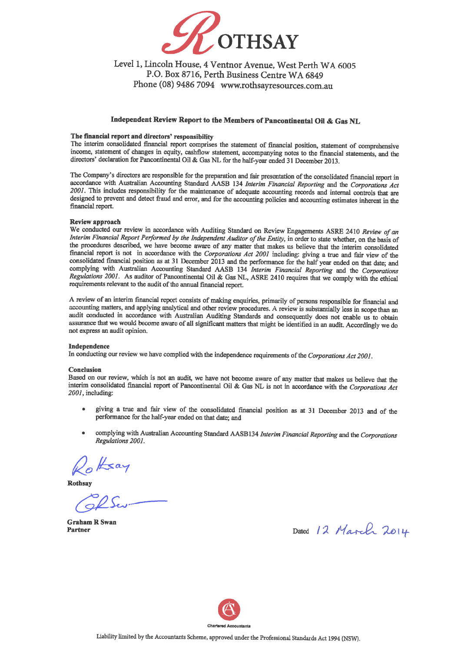

# Level 1, Lincoln House, 4 Ventnor Avenue, West Perth WA 6005 P.O. Box 8716, Perth Business Centre WA 6849 Phone (08) 9486 7094 www.rothsayresources.com.au

## Independent Review Report to the Members of Pancontinental Oil & Gas NL

#### The financial report and directors' responsibility

The interim consolidated financial report comprises the statement of financial position, statement of comprehensive income, statement of changes in equity, cashflow statement, accompanying notes to the financial statements, and the directors' declaration for Pancontinental Oil & Gas NL for the half-year ended 31 December 2013.

The Company's directors are responsible for the preparation and fair presentation of the consolidated financial report in accordance with Australian Accounting Standard AASB 134 Interim Financial Reporting and the Corporations Act 2001. This includes responsibility for the maintenance of adequate accounting records and internal controls that are designed to prevent and detect fraud and error, and for the accounting policies and accounting estimates inherent in the financial report.

#### Review approach

We conducted our review in accordance with Auditing Standard on Review Engagements ASRE 2410 Review of an Interim Financial Report Performed by the Independent Auditor of the Entity, in order to state whether, on the basis of the procedures described, we have become aware of any matter that makes us believe that the interim consolidated financial report is not in accordance with the Corporations Act 2001 including: giving a true and fair view of the consolidated financial position as at 31 December 2013 and the performance for the half year ended on that date; and complying with Australian Accounting Standard AASB 134 Interim Financial Reporting and the Corporations Regulations 2001. As auditor of Pancontinental Oil & Gas NL, ASRE 2410 requires that we comply with the ethical requirements relevant to the audit of the annual financial report.

A review of an interim financial report consists of making enquiries, primarily of persons responsible for financial and accounting matters, and applying analytical and other review procedures. A review is substantially less in scope than an audit conducted in accordance with Australian Auditing Standards and consequently does not enable us to obtain assurance that we would become aware of all significant matters that might be identified in an audit. Accordingly we do not express an audit opinion.

#### Independence

In conducting our review we have complied with the independence requirements of the Corporations Act 2001.

#### **Conclusion**

Based on our review, which is not an audit, we have not become aware of any matter that makes us believe that the interim consolidated financial report of Pancontinental Oil & Gas NL is not in accordance with the Corporations Act 2001, including:

- giving a true and fair view of the consolidated financial position as at 31 December 2013 and of the  $\bullet$ performance for the half-year ended on that date; and
- complying with Australian Accounting Standard AASB134 Interim Financial Reporting and the Corporations Regulations 2001.

Rothsay

**Graham R Swan** Partner

Dated 12 March 2014

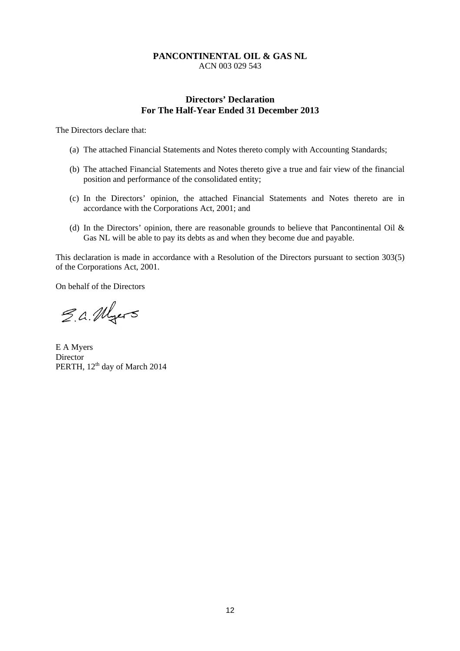# **Directors' Declaration For The Half-Year Ended 31 December 2013**

The Directors declare that:

- (a) The attached Financial Statements and Notes thereto comply with Accounting Standards;
- (b) The attached Financial Statements and Notes thereto give a true and fair view of the financial position and performance of the consolidated entity;
- (c) In the Directors' opinion, the attached Financial Statements and Notes thereto are in accordance with the Corporations Act, 2001; and
- (d) In the Directors' opinion, there are reasonable grounds to believe that Pancontinental Oil & Gas NL will be able to pay its debts as and when they become due and payable.

This declaration is made in accordance with a Resolution of the Directors pursuant to section 303(5) of the Corporations Act, 2001.

On behalf of the Directors

E.a. Myers

E A Myers Director PERTH, 12<sup>th</sup> day of March 2014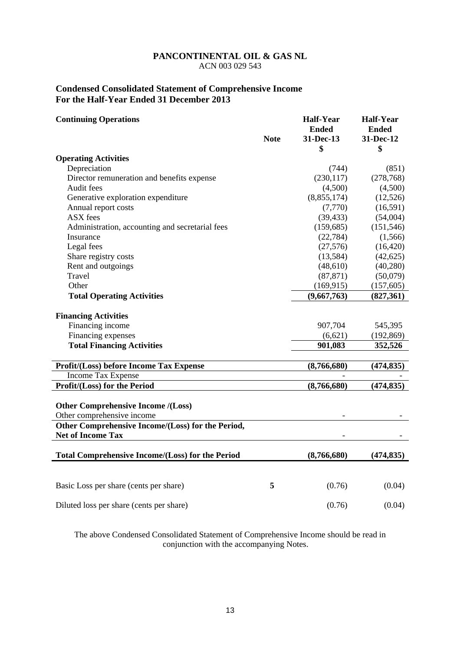# **Condensed Consolidated Statement of Comprehensive Income For the Half-Year Ended 31 December 2013**

| <b>Continuing Operations</b>                                                  | <b>Note</b> | <b>Half-Year</b><br><b>Ended</b><br>31-Dec-13 | <b>Half-Year</b><br><b>Ended</b><br>31-Dec-12 |
|-------------------------------------------------------------------------------|-------------|-----------------------------------------------|-----------------------------------------------|
|                                                                               |             | \$                                            | \$                                            |
| <b>Operating Activities</b>                                                   |             |                                               |                                               |
| Depreciation                                                                  |             | (744)                                         | (851)                                         |
| Director remuneration and benefits expense                                    |             | (230, 117)                                    | (278, 768)                                    |
| Audit fees                                                                    |             | (4,500)                                       | (4,500)                                       |
| Generative exploration expenditure                                            |             | (8,855,174)                                   | (12, 526)                                     |
| Annual report costs                                                           |             | (7,770)                                       | (16,591)                                      |
| ASX fees                                                                      |             | (39, 433)                                     | (54,004)                                      |
| Administration, accounting and secretarial fees                               |             | (159, 685)                                    | (151, 546)                                    |
| Insurance                                                                     |             | (22, 784)                                     | (1,566)                                       |
| Legal fees                                                                    |             | (27, 576)                                     | (16, 420)                                     |
| Share registry costs                                                          |             | (13,584)                                      | (42, 625)                                     |
| Rent and outgoings                                                            |             | (48,610)                                      | (40,280)                                      |
| Travel                                                                        |             | (87, 871)                                     | (50,079)                                      |
| Other                                                                         |             | (169, 915)                                    | (157, 605)                                    |
| <b>Total Operating Activities</b>                                             |             | (9,667,763)                                   | (827,361)                                     |
|                                                                               |             |                                               |                                               |
| <b>Financing Activities</b>                                                   |             |                                               |                                               |
| Financing income                                                              |             | 907,704                                       | 545,395                                       |
| Financing expenses                                                            |             | (6,621)                                       | (192, 869)                                    |
| <b>Total Financing Activities</b>                                             |             | 901,083                                       | 352,526                                       |
| Profit/(Loss) before Income Tax Expense                                       |             | (8,766,680)                                   | (474, 835)                                    |
| <b>Income Tax Expense</b>                                                     |             |                                               |                                               |
| Profit/(Loss) for the Period                                                  |             | (8,766,680)                                   | (474, 835)                                    |
| <b>Other Comprehensive Income /(Loss)</b>                                     |             |                                               |                                               |
| Other comprehensive income                                                    |             |                                               |                                               |
| Other Comprehensive Income/(Loss) for the Period,<br><b>Net of Income Tax</b> |             |                                               |                                               |
|                                                                               |             |                                               |                                               |
| <b>Total Comprehensive Income/(Loss) for the Period</b>                       |             | (8,766,680)                                   | (474, 835)                                    |
|                                                                               |             |                                               |                                               |
| Basic Loss per share (cents per share)                                        | 5           | (0.76)                                        | (0.04)                                        |
| Diluted loss per share (cents per share)                                      |             | (0.76)                                        | (0.04)                                        |

The above Condensed Consolidated Statement of Comprehensive Income should be read in conjunction with the accompanying Notes.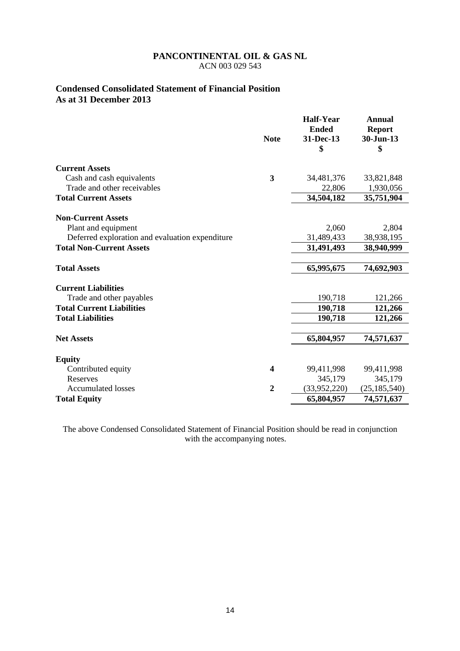# **Condensed Consolidated Statement of Financial Position As at 31 December 2013**

|                                                 | <b>Note</b>    | <b>Half-Year</b><br><b>Ended</b><br>31-Dec-13<br>\$ | <b>Annual</b><br><b>Report</b><br>30-Jun-13<br>\$ |
|-------------------------------------------------|----------------|-----------------------------------------------------|---------------------------------------------------|
| <b>Current Assets</b>                           |                |                                                     |                                                   |
| Cash and cash equivalents                       | 3              | 34,481,376                                          | 33,821,848                                        |
| Trade and other receivables                     |                | 22,806                                              | 1,930,056                                         |
| <b>Total Current Assets</b>                     |                | 34,504,182                                          | 35,751,904                                        |
| <b>Non-Current Assets</b>                       |                |                                                     |                                                   |
| Plant and equipment                             |                | 2,060                                               | 2,804                                             |
| Deferred exploration and evaluation expenditure |                | 31,489,433                                          | 38,938,195                                        |
| <b>Total Non-Current Assets</b>                 |                | 31,491,493                                          | 38,940,999                                        |
| <b>Total Assets</b>                             |                | 65,995,675                                          | 74,692,903                                        |
| <b>Current Liabilities</b>                      |                |                                                     |                                                   |
| Trade and other payables                        |                | 190,718                                             | 121,266                                           |
| <b>Total Current Liabilities</b>                |                | 190,718                                             | 121,266                                           |
| <b>Total Liabilities</b>                        |                | 190,718                                             | 121,266                                           |
| <b>Net Assets</b>                               |                | 65,804,957                                          | 74,571,637                                        |
| <b>Equity</b>                                   |                |                                                     |                                                   |
| Contributed equity                              | 4              | 99,411,998                                          | 99,411,998                                        |
| <b>Reserves</b>                                 |                | 345,179                                             | 345,179                                           |
| <b>Accumulated losses</b>                       | $\overline{2}$ | (33,952,220)                                        | (25, 185, 540)                                    |
| <b>Total Equity</b>                             |                | 65,804,957                                          | 74,571,637                                        |

The above Condensed Consolidated Statement of Financial Position should be read in conjunction with the accompanying notes.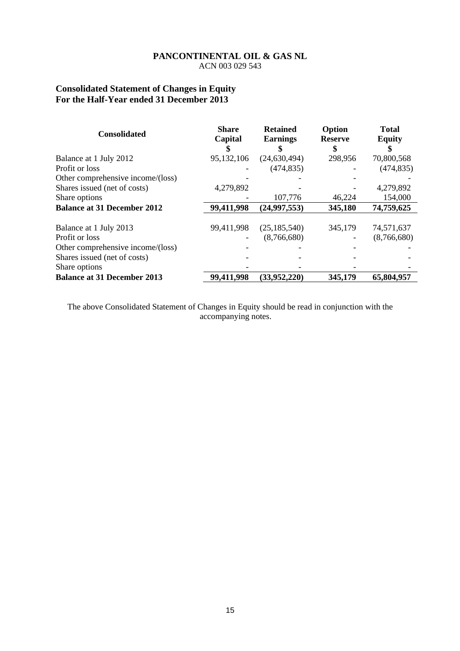# **Consolidated Statement of Changes in Equity For the Half-Year ended 31 December 2013**

| <b>Consolidated</b>                | <b>Share</b><br>Capital | <b>Retained</b><br><b>Earnings</b> | Option<br><b>Reserve</b> | <b>Total</b><br><b>Equity</b> |
|------------------------------------|-------------------------|------------------------------------|--------------------------|-------------------------------|
|                                    |                         |                                    | \$                       |                               |
| Balance at 1 July 2012             | 95,132,106              | (24, 630, 494)                     | 298,956                  | 70,800,568                    |
| Profit or loss                     |                         | (474, 835)                         |                          | (474, 835)                    |
| Other comprehensive income/(loss)  |                         |                                    |                          |                               |
| Shares issued (net of costs)       | 4,279,892               |                                    |                          | 4,279,892                     |
| Share options                      |                         | 107,776                            | 46,224                   | 154,000                       |
| <b>Balance at 31 December 2012</b> | 99,411,998              | (24, 997, 553)                     | 345,180                  | 74,759,625                    |
|                                    |                         |                                    |                          |                               |
| Balance at 1 July 2013             | 99,411,998              | (25, 185, 540)                     | 345,179                  | 74,571,637                    |
| Profit or loss                     |                         | (8,766,680)                        |                          | (8,766,680)                   |
| Other comprehensive income/(loss)  |                         |                                    |                          |                               |
| Shares issued (net of costs)       |                         |                                    |                          |                               |
| Share options                      |                         |                                    |                          |                               |
| <b>Balance at 31 December 2013</b> | 99,411,998              | (33,952,220)                       | 345,179                  | 65,804,957                    |

The above Consolidated Statement of Changes in Equity should be read in conjunction with the accompanying notes.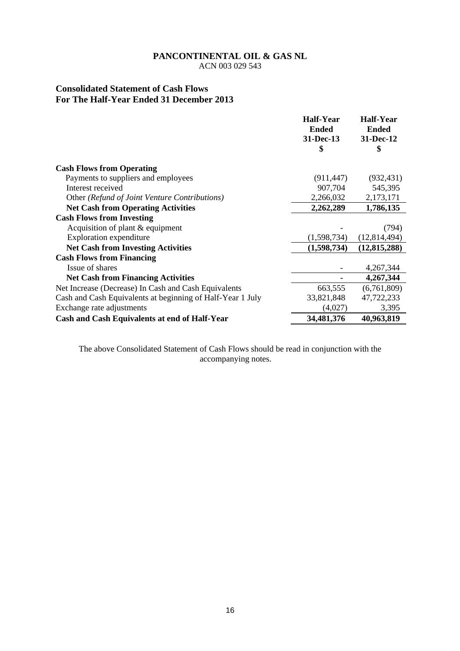ACN 003 029 543

# **Consolidated Statement of Cash Flows For The Half-Year Ended 31 December 2013**

|                                                            | <b>Half-Year</b> | <b>Half-Year</b> |
|------------------------------------------------------------|------------------|------------------|
|                                                            | <b>Ended</b>     | <b>Ended</b>     |
|                                                            | 31-Dec-13        | 31-Dec-12        |
|                                                            | \$               | \$               |
| <b>Cash Flows from Operating</b>                           |                  |                  |
| Payments to suppliers and employees                        | (911, 447)       | (932, 431)       |
| Interest received                                          | 907,704          | 545,395          |
| Other (Refund of Joint Venture Contributions)              | 2,266,032        | 2,173,171        |
| <b>Net Cash from Operating Activities</b>                  | 2,262,289        | 1,786,135        |
| <b>Cash Flows from Investing</b>                           |                  |                  |
| Acquisition of plant $&$ equipment                         |                  | (794)            |
| <b>Exploration</b> expenditure                             | (1,598,734)      | (12,814,494)     |
| <b>Net Cash from Investing Activities</b>                  | (1,598,734)      | (12, 815, 288)   |
| <b>Cash Flows from Financing</b>                           |                  |                  |
| Issue of shares                                            |                  | 4,267,344        |
| <b>Net Cash from Financing Activities</b>                  |                  | 4,267,344        |
| Net Increase (Decrease) In Cash and Cash Equivalents       | 663,555          | (6,761,809)      |
| Cash and Cash Equivalents at beginning of Half-Year 1 July | 33,821,848       | 47,722,233       |
| Exchange rate adjustments                                  | (4,027)          | 3,395            |
| Cash and Cash Equivalents at end of Half-Year              | 34,481,376       | 40,963,819       |

The above Consolidated Statement of Cash Flows should be read in conjunction with the accompanying notes.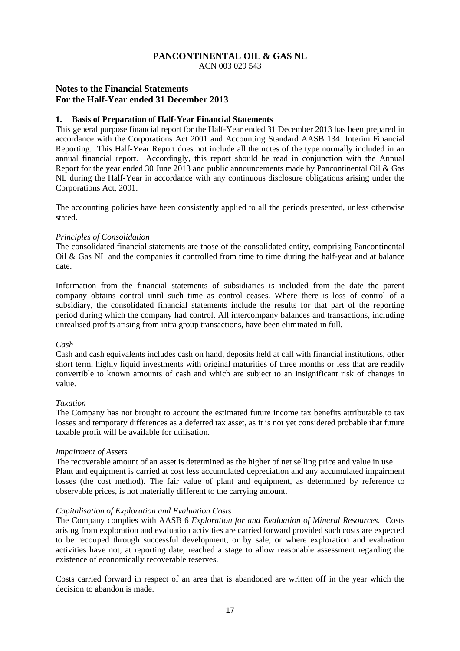ACN 003 029 543

## **Notes to the Financial Statements For the Half-Year ended 31 December 2013**

#### **1. Basis of Preparation of Half-Year Financial Statements**

This general purpose financial report for the Half-Year ended 31 December 2013 has been prepared in accordance with the Corporations Act 2001 and Accounting Standard AASB 134: Interim Financial Reporting. This Half-Year Report does not include all the notes of the type normally included in an annual financial report. Accordingly, this report should be read in conjunction with the Annual Report for the year ended 30 June 2013 and public announcements made by Pancontinental Oil & Gas NL during the Half-Year in accordance with any continuous disclosure obligations arising under the Corporations Act, 2001.

The accounting policies have been consistently applied to all the periods presented, unless otherwise stated.

#### *Principles of Consolidation*

The consolidated financial statements are those of the consolidated entity, comprising Pancontinental Oil & Gas NL and the companies it controlled from time to time during the half-year and at balance date.

Information from the financial statements of subsidiaries is included from the date the parent company obtains control until such time as control ceases. Where there is loss of control of a subsidiary, the consolidated financial statements include the results for that part of the reporting period during which the company had control. All intercompany balances and transactions, including unrealised profits arising from intra group transactions, have been eliminated in full.

#### *Cash*

Cash and cash equivalents includes cash on hand, deposits held at call with financial institutions, other short term, highly liquid investments with original maturities of three months or less that are readily convertible to known amounts of cash and which are subject to an insignificant risk of changes in value.

#### *Taxation*

The Company has not brought to account the estimated future income tax benefits attributable to tax losses and temporary differences as a deferred tax asset, as it is not yet considered probable that future taxable profit will be available for utilisation.

#### *Impairment of Assets*

The recoverable amount of an asset is determined as the higher of net selling price and value in use. Plant and equipment is carried at cost less accumulated depreciation and any accumulated impairment losses (the cost method). The fair value of plant and equipment, as determined by reference to observable prices, is not materially different to the carrying amount.

#### *Capitalisation of Exploration and Evaluation Costs*

The Company complies with AASB 6 *Exploration for and Evaluation of Mineral Resources*. Costs arising from exploration and evaluation activities are carried forward provided such costs are expected to be recouped through successful development, or by sale, or where exploration and evaluation activities have not, at reporting date, reached a stage to allow reasonable assessment regarding the existence of economically recoverable reserves.

Costs carried forward in respect of an area that is abandoned are written off in the year which the decision to abandon is made.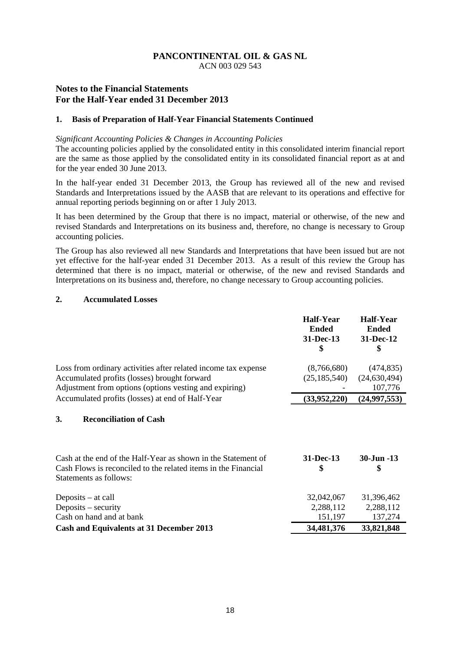ACN 003 029 543

# **Notes to the Financial Statements For the Half-Year ended 31 December 2013**

#### **1. Basis of Preparation of Half-Year Financial Statements Continued**

#### *Significant Accounting Policies & Changes in Accounting Policies*

The accounting policies applied by the consolidated entity in this consolidated interim financial report are the same as those applied by the consolidated entity in its consolidated financial report as at and for the year ended 30 June 2013.

In the half-year ended 31 December 2013, the Group has reviewed all of the new and revised Standards and Interpretations issued by the AASB that are relevant to its operations and effective for annual reporting periods beginning on or after 1 July 2013.

It has been determined by the Group that there is no impact, material or otherwise, of the new and revised Standards and Interpretations on its business and, therefore, no change is necessary to Group accounting policies.

The Group has also reviewed all new Standards and Interpretations that have been issued but are not yet effective for the half-year ended 31 December 2013. As a result of this review the Group has determined that there is no impact, material or otherwise, of the new and revised Standards and Interpretations on its business and, therefore, no change necessary to Group accounting policies.

### **2. Accumulated Losses**

|                                                                                                                                                                          | <b>Half-Year</b><br><b>Ended</b><br>31-Dec-13<br>\$ | Half-Year<br><b>Ended</b><br>31-Dec-12<br>\$ |
|--------------------------------------------------------------------------------------------------------------------------------------------------------------------------|-----------------------------------------------------|----------------------------------------------|
| Loss from ordinary activities after related income tax expense<br>Accumulated profits (losses) brought forward<br>Adjustment from options (options vesting and expiring) | (8,766,680)<br>(25, 185, 540)                       | (474, 835)<br>(24, 630, 494)<br>107,776      |
| Accumulated profits (losses) at end of Half-Year                                                                                                                         | (33,952,220)                                        | (24, 997, 553)                               |
| 3.<br><b>Reconciliation of Cash</b>                                                                                                                                      |                                                     |                                              |
| Cash at the end of the Half-Year as shown in the Statement of<br>Cash Flows is reconciled to the related items in the Financial<br>Statements as follows:                | 31-Dec-13<br>\$                                     | 30-Jun -13<br>\$                             |
| Deposits $-$ at call<br>Deposits $-$ security<br>Cash on hand and at bank                                                                                                | 32,042,067<br>2,288,112<br>151,197                  | 31,396,462<br>2,288,112<br>137,274           |
| <b>Cash and Equivalents at 31 December 2013</b>                                                                                                                          | 34,481,376                                          | 33,821,848                                   |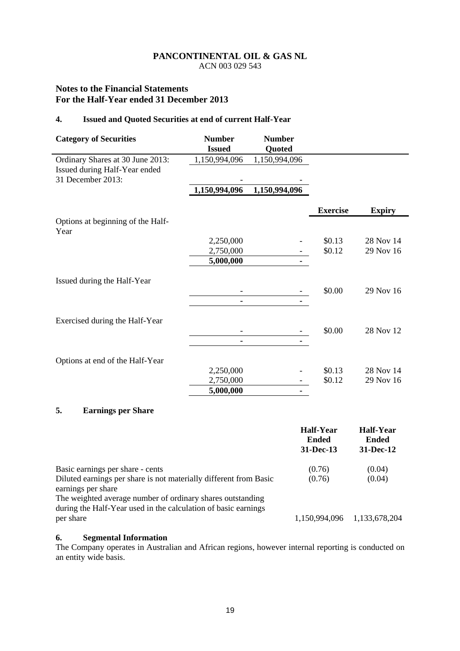ACN 003 029 543

# **Notes to the Financial Statements For the Half-Year ended 31 December 2013**

## **4. Issued and Quoted Securities at end of current Half-Year**

| <b>Category of Securities</b>                      | <b>Number</b><br><b>Issued</b> | <b>Number</b><br>Quoted |                 |               |
|----------------------------------------------------|--------------------------------|-------------------------|-----------------|---------------|
| Ordinary Shares at 30 June 2013:                   | 1,150,994,096                  | 1,150,994,096           |                 |               |
| Issued during Half-Year ended<br>31 December 2013: |                                |                         |                 |               |
|                                                    | 1,150,994,096                  | 1,150,994,096           |                 |               |
|                                                    |                                |                         | <b>Exercise</b> | <b>Expiry</b> |
| Options at beginning of the Half-<br>Year          |                                |                         |                 |               |
|                                                    | 2,250,000                      |                         | \$0.13          | 28 Nov 14     |
|                                                    | 2,750,000                      |                         | \$0.12          | 29 Nov 16     |
|                                                    | 5,000,000                      |                         |                 |               |
| Issued during the Half-Year                        |                                |                         |                 |               |
|                                                    |                                |                         | \$0.00          | 29 Nov 16     |
|                                                    |                                | ۰                       |                 |               |
| Exercised during the Half-Year                     |                                |                         |                 |               |
|                                                    |                                |                         | \$0.00          | 28 Nov 12     |
|                                                    |                                | ۰                       |                 |               |
| Options at end of the Half-Year                    |                                |                         |                 |               |
|                                                    | 2,250,000                      |                         | \$0.13          | 28 Nov 14     |
|                                                    | 2,750,000                      |                         | \$0.12          | 29 Nov 16     |
|                                                    | 5,000,000                      | ۰                       |                 |               |

# **5. Earnings per Share**

|                                                                                         | Half-Year<br><b>Ended</b><br>31-Dec-13 | Half-Year<br>Ended<br>31-Dec-12 |
|-----------------------------------------------------------------------------------------|----------------------------------------|---------------------------------|
| Basic earnings per share - cents                                                        | (0.76)                                 | (0.04)                          |
| Diluted earnings per share is not materially different from Basic<br>earnings per share | (0.76)                                 | (0.04)                          |
| The weighted average number of ordinary shares outstanding                              |                                        |                                 |
| during the Half-Year used in the calculation of basic earnings<br>per share             | 1,150,994,096                          | 1,133,678,204                   |

# **6. Segmental Information**

The Company operates in Australian and African regions, however internal reporting is conducted on an entity wide basis.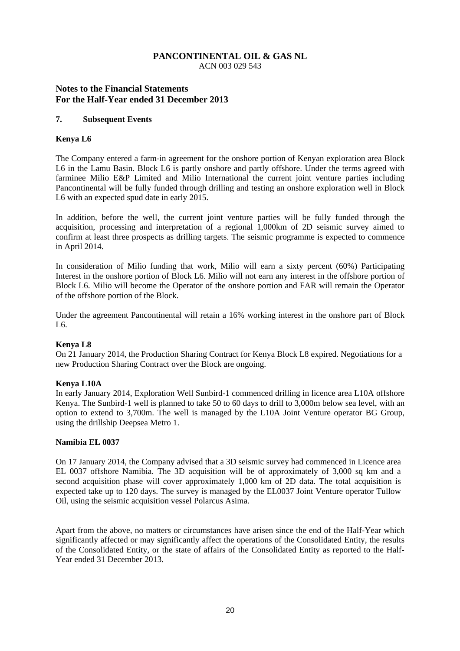ACN 003 029 543

# **Notes to the Financial Statements For the Half-Year ended 31 December 2013**

#### **7. Subsequent Events**

### **Kenya L6**

The Company entered a farm-in agreement for the onshore portion of Kenyan exploration area Block L6 in the Lamu Basin. Block L6 is partly onshore and partly offshore. Under the terms agreed with farminee Milio E&P Limited and Milio International the current joint venture parties including Pancontinental will be fully funded through drilling and testing an onshore exploration well in Block L6 with an expected spud date in early 2015.

In addition, before the well, the current joint venture parties will be fully funded through the acquisition, processing and interpretation of a regional 1,000km of 2D seismic survey aimed to confirm at least three prospects as drilling targets. The seismic programme is expected to commence in April 2014.

In consideration of Milio funding that work, Milio will earn a sixty percent (60%) Participating Interest in the onshore portion of Block L6. Milio will not earn any interest in the offshore portion of Block L6. Milio will become the Operator of the onshore portion and FAR will remain the Operator of the offshore portion of the Block.

Under the agreement Pancontinental will retain a 16% working interest in the onshore part of Block L6.

### **Kenya L8**

On 21 January 2014, the Production Sharing Contract for Kenya Block L8 expired. Negotiations for a new Production Sharing Contract over the Block are ongoing.

### **Kenya L10A**

In early January 2014, Exploration Well Sunbird-1 commenced drilling in licence area L10A offshore Kenya. The Sunbird-1 well is planned to take 50 to 60 days to drill to 3,000m below sea level, with an option to extend to 3,700m. The well is managed by the L10A Joint Venture operator BG Group, using the drillship Deepsea Metro 1.

### **Namibia EL 0037**

On 17 January 2014, the Company advised that a 3D seismic survey had commenced in Licence area EL 0037 offshore Namibia. The 3D acquisition will be of approximately of 3,000 sq km and a second acquisition phase will cover approximately 1,000 km of 2D data. The total acquisition is expected take up to 120 days. The survey is managed by the EL0037 Joint Venture operator Tullow Oil, using the seismic acquisition vessel Polarcus Asima.

Apart from the above, no matters or circumstances have arisen since the end of the Half-Year which significantly affected or may significantly affect the operations of the Consolidated Entity, the results of the Consolidated Entity, or the state of affairs of the Consolidated Entity as reported to the Half-Year ended 31 December 2013.